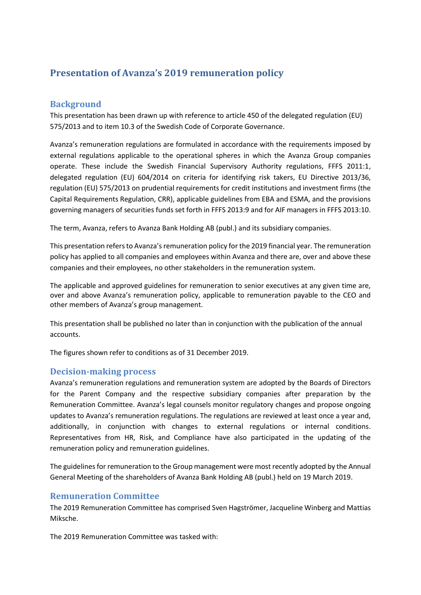# **Presentation of Avanza's 2019 remuneration policy**

#### **Background**

This presentation has been drawn up with reference to article 450 of the delegated regulation (EU) 575/2013 and to item 10.3 of the Swedish Code of Corporate Governance.

Avanza's remuneration regulations are formulated in accordance with the requirements imposed by external regulations applicable to the operational spheres in which the Avanza Group companies operate. These include the Swedish Financial Supervisory Authority regulations, FFFS 2011:1, delegated regulation (EU) 604/2014 on criteria for identifying risk takers, EU Directive 2013/36, regulation (EU) 575/2013 on prudential requirements for credit institutions and investment firms (the Capital Requirements Regulation, CRR), applicable guidelines from EBA and ESMA, and the provisions governing managers of securities funds set forth in FFFS 2013:9 and for AIF managers in FFFS 2013:10.

The term, Avanza, refers to Avanza Bank Holding AB (publ.) and its subsidiary companies.

This presentation refers to Avanza's remuneration policy for the 2019 financial year. The remuneration policy has applied to all companies and employees within Avanza and there are, over and above these companies and their employees, no other stakeholders in the remuneration system.

The applicable and approved guidelines for remuneration to senior executives at any given time are, over and above Avanza's remuneration policy, applicable to remuneration payable to the CEO and other members of Avanza's group management.

This presentation shall be published no later than in conjunction with the publication of the annual accounts.

The figures shown refer to conditions as of 31 December 2019.

#### **Decision-making process**

Avanza's remuneration regulations and remuneration system are adopted by the Boards of Directors for the Parent Company and the respective subsidiary companies after preparation by the Remuneration Committee. Avanza's legal counsels monitor regulatory changes and propose ongoing updates to Avanza's remuneration regulations. The regulations are reviewed at least once a year and, additionally, in conjunction with changes to external regulations or internal conditions. Representatives from HR, Risk, and Compliance have also participated in the updating of the remuneration policy and remuneration guidelines.

The guidelines for remuneration to the Group management were most recently adopted by the Annual General Meeting of the shareholders of Avanza Bank Holding AB (publ.) held on 19 March 2019.

#### **Remuneration Committee**

The 2019 Remuneration Committee has comprised Sven Hagströmer, Jacqueline Winberg and Mattias Miksche.

The 2019 Remuneration Committee was tasked with: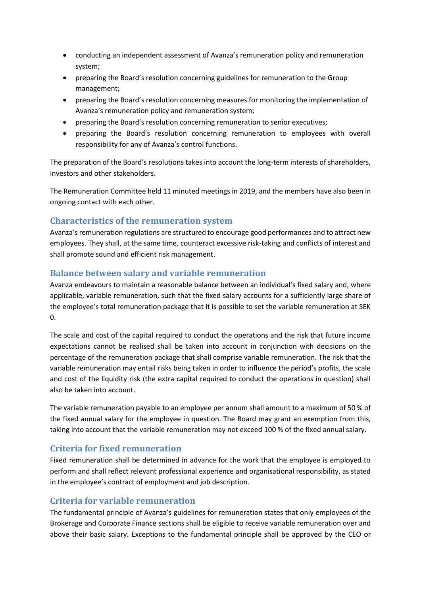- conducting an independent assessment of Avanza's remuneration policy and remuneration system;
- preparing the Board's resolution concerning guidelines for remuneration to the Group management;
- preparing the Board's resolution concerning measures for monitoring the implementation of Avanza's remuneration policy and remuneration system;
- preparing the Board's resolution concerning remuneration to senior executives;
- preparing the Board's resolution concerning remuneration to employees with overall responsibility for any of Avanza's control functions.

The preparation of the Board's resolutions takes into account the long-term interests of shareholders, investors and other stakeholders.

The Remuneration Committee held 11 minuted meetings in 2019, and the members have also been in ongoing contact with each other.

#### **Characteristics of the remuneration system**

Avanza's remuneration regulations are structured to encourage good performances and to attract new employees. They shall, at the same time, counteract excessive risk-taking and conflicts of interest and shall promote sound and efficient risk management.

#### **Balance between salary and variable remuneration**

Avanza endeavours to maintain a reasonable balance between an individual's fixed salary and, where applicable, variable remuneration, such that the fixed salary accounts for a sufficiently large share of the employee's total remuneration package that it is possible to set the variable remuneration at SEK 0.

The scale and cost of the capital required to conduct the operations and the risk that future income expectations cannot be realised shall be taken into account in conjunction with decisions on the percentage of the remuneration package that shall comprise variable remuneration. The risk that the variable remuneration may entail risks being taken in order to influence the period's profits, the scale and cost of the liquidity risk (the extra capital required to conduct the operations in question) shall also be taken into account.

The variable remuneration payable to an employee per annum shall amount to a maximum of 50 % of the fixed annual salary for the employee in question. The Board may grant an exemption from this, taking into account that the variable remuneration may not exceed 100 % of the fixed annual salary.

# **Criteria for fixed remuneration**

Fixed remuneration shall be determined in advance for the work that the employee is employed to perform and shall reflect relevant professional experience and organisational responsibility, as stated in the employee's contract of employment and job description.

# **Criteria for variable remuneration**

The fundamental principle of Avanza's guidelines for remuneration states that only employees of the Brokerage and Corporate Finance sections shall be eligible to receive variable remuneration over and above their basic salary. Exceptions to the fundamental principle shall be approved by the CEO or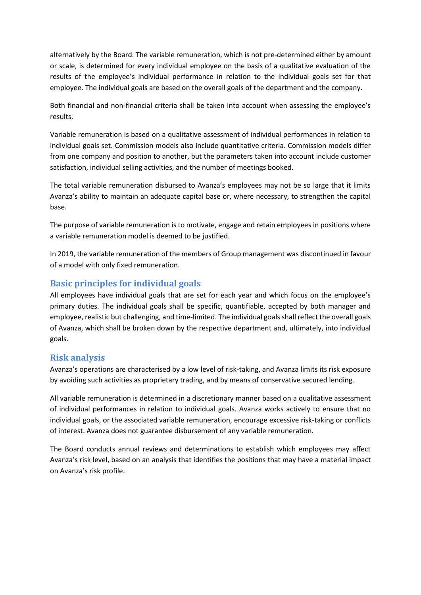alternatively by the Board. The variable remuneration, which is not pre-determined either by amount or scale, is determined for every individual employee on the basis of a qualitative evaluation of the results of the employee's individual performance in relation to the individual goals set for that employee. The individual goals are based on the overall goals of the department and the company.

Both financial and non-financial criteria shall be taken into account when assessing the employee's results.

Variable remuneration is based on a qualitative assessment of individual performances in relation to individual goals set. Commission models also include quantitative criteria. Commission models differ from one company and position to another, but the parameters taken into account include customer satisfaction, individual selling activities, and the number of meetings booked.

The total variable remuneration disbursed to Avanza's employees may not be so large that it limits Avanza's ability to maintain an adequate capital base or, where necessary, to strengthen the capital base.

The purpose of variable remuneration is to motivate, engage and retain employees in positions where a variable remuneration model is deemed to be justified.

In 2019, the variable remuneration of the members of Group management was discontinued in favour of a model with only fixed remuneration.

# **Basic principles for individual goals**

All employees have individual goals that are set for each year and which focus on the employee's primary duties. The individual goals shall be specific, quantifiable, accepted by both manager and employee, realistic but challenging, and time-limited. The individual goals shall reflect the overall goals of Avanza, which shall be broken down by the respective department and, ultimately, into individual goals.

#### **Risk analysis**

Avanza's operations are characterised by a low level of risk-taking, and Avanza limits its risk exposure by avoiding such activities as proprietary trading, and by means of conservative secured lending.

All variable remuneration is determined in a discretionary manner based on a qualitative assessment of individual performances in relation to individual goals. Avanza works actively to ensure that no individual goals, or the associated variable remuneration, encourage excessive risk-taking or conflicts of interest. Avanza does not guarantee disbursement of any variable remuneration.

The Board conducts annual reviews and determinations to establish which employees may affect Avanza's risk level, based on an analysis that identifies the positions that may have a material impact on Avanza's risk profile.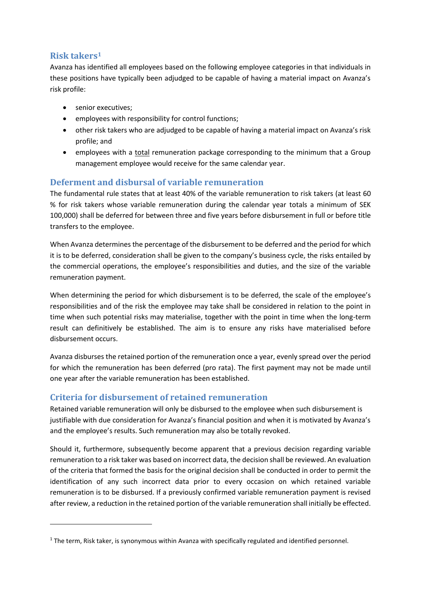# **Risk takers<sup>1</sup>**

Avanza has identified all employees based on the following employee categories in that individuals in these positions have typically been adjudged to be capable of having a material impact on Avanza's risk profile:

- senior executives;
- employees with responsibility for control functions;
- other risk takers who are adjudged to be capable of having a material impact on Avanza's risk profile; and
- employees with a total remuneration package corresponding to the minimum that a Group management employee would receive for the same calendar year.

# **Deferment and disbursal of variable remuneration**

The fundamental rule states that at least 40% of the variable remuneration to risk takers (at least 60 % for risk takers whose variable remuneration during the calendar year totals a minimum of SEK 100,000) shall be deferred for between three and five years before disbursement in full or before title transfers to the employee.

When Avanza determines the percentage of the disbursement to be deferred and the period for which it is to be deferred, consideration shall be given to the company's business cycle, the risks entailed by the commercial operations, the employee's responsibilities and duties, and the size of the variable remuneration payment.

When determining the period for which disbursement is to be deferred, the scale of the employee's responsibilities and of the risk the employee may take shall be considered in relation to the point in time when such potential risks may materialise, together with the point in time when the long-term result can definitively be established. The aim is to ensure any risks have materialised before disbursement occurs.

Avanza disburses the retained portion of the remuneration once a year, evenly spread over the period for which the remuneration has been deferred (pro rata). The first payment may not be made until one year after the variable remuneration has been established.

# **Criteria for disbursement of retained remuneration**

Retained variable remuneration will only be disbursed to the employee when such disbursement is justifiable with due consideration for Avanza's financial position and when it is motivated by Avanza's and the employee's results. Such remuneration may also be totally revoked.

Should it, furthermore, subsequently become apparent that a previous decision regarding variable remuneration to a risk taker was based on incorrect data, the decision shall be reviewed. An evaluation of the criteria that formed the basis for the original decision shall be conducted in order to permit the identification of any such incorrect data prior to every occasion on which retained variable remuneration is to be disbursed. If a previously confirmed variable remuneration payment is revised after review, a reduction in the retained portion of the variable remuneration shall initially be effected.

<sup>&</sup>lt;sup>1</sup> The term, Risk taker, is synonymous within Avanza with specifically regulated and identified personnel.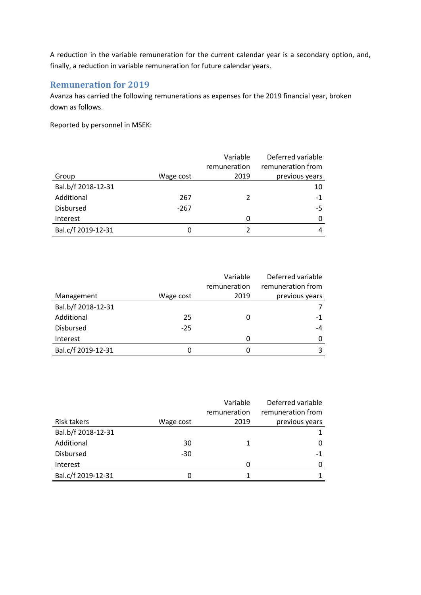A reduction in the variable remuneration for the current calendar year is a secondary option, and, finally, a reduction in variable remuneration for future calendar years.

### **Remuneration for 2019**

Avanza has carried the following remunerations as expenses for the 2019 financial year, broken down as follows.

Reported by personnel in MSEK:

|                    |           | Variable     | Deferred variable |
|--------------------|-----------|--------------|-------------------|
|                    |           | remuneration | remuneration from |
| Group              | Wage cost | 2019         | previous years    |
| Bal.b/f 2018-12-31 |           |              | 10                |
| Additional         | 267       | 2            | $-1$              |
| <b>Disbursed</b>   | $-267$    |              | -5                |
| Interest           |           | O            | 0                 |
| Bal.c/f 2019-12-31 |           |              | 4                 |

|                    |           | Variable     | Deferred variable |
|--------------------|-----------|--------------|-------------------|
|                    |           | remuneration | remuneration from |
| Management         | Wage cost | 2019         | previous years    |
| Bal.b/f 2018-12-31 |           |              |                   |
| Additional         | 25        |              | -1                |
| <b>Disbursed</b>   | $-25$     |              | $-4$              |
| Interest           |           | 0            | 0                 |
| Bal.c/f 2019-12-31 | Ω         |              |                   |

|                    |           | Variable<br>remuneration | Deferred variable<br>remuneration from |
|--------------------|-----------|--------------------------|----------------------------------------|
| Risk takers        | Wage cost | 2019                     | previous years                         |
| Bal.b/f 2018-12-31 |           |                          |                                        |
| Additional         | 30        |                          | Ω                                      |
| <b>Disbursed</b>   | $-30$     |                          | $-1$                                   |
| Interest           |           | 0                        | O                                      |
| Bal.c/f 2019-12-31 | Ω         |                          |                                        |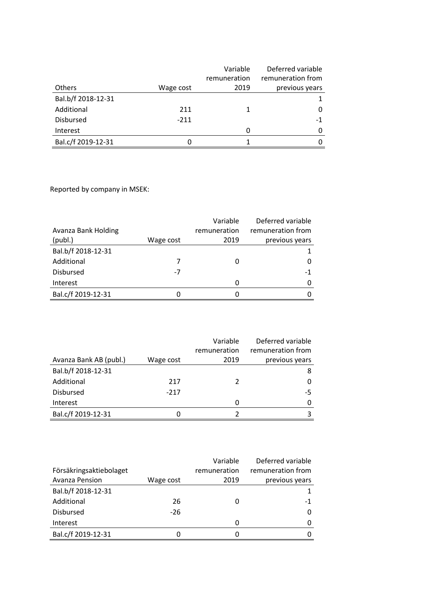|                    |           | Variable     | Deferred variable |
|--------------------|-----------|--------------|-------------------|
|                    |           | remuneration | remuneration from |
| Others             | Wage cost | 2019         | previous years    |
| Bal.b/f 2018-12-31 |           |              | 1                 |
| Additional         | 211       | 1            | 0                 |
| <b>Disbursed</b>   | $-211$    |              | $-1$              |
| Interest           |           | 0            | $\Omega$          |
| Bal.c/f 2019-12-31 |           |              | 0                 |

Reported by company in MSEK:

|                     |           | Variable     | Deferred variable |
|---------------------|-----------|--------------|-------------------|
| Avanza Bank Holding |           | remuneration | remuneration from |
| (publ.)             | Wage cost | 2019         | previous years    |
| Bal.b/f 2018-12-31  |           |              |                   |
| Additional          |           |              |                   |
| <b>Disbursed</b>    | -7        |              | -1                |
| Interest            |           |              |                   |
| Bal.c/f 2019-12-31  | O         |              |                   |

|                        |           | Variable     | Deferred variable |
|------------------------|-----------|--------------|-------------------|
|                        |           | remuneration | remuneration from |
| Avanza Bank AB (publ.) | Wage cost | 2019         | previous years    |
| Bal.b/f 2018-12-31     |           |              | 8                 |
| Additional             | 217       | 2            | 0                 |
| <b>Disbursed</b>       | $-217$    |              | -5                |
| Interest               |           | Ω            | 0                 |
| Bal.c/f 2019-12-31     | O         |              | 3                 |

|                         |           | Variable     | Deferred variable |
|-------------------------|-----------|--------------|-------------------|
| Försäkringsaktiebolaget |           | remuneration | remuneration from |
| Avanza Pension          | Wage cost | 2019         | previous years    |
| Bal.b/f 2018-12-31      |           |              |                   |
| Additional              | 26        |              | -1                |
| <b>Disbursed</b>        | $-26$     |              | 0                 |
| Interest                |           | O            | O                 |
| Bal.c/f 2019-12-31      | O         |              |                   |